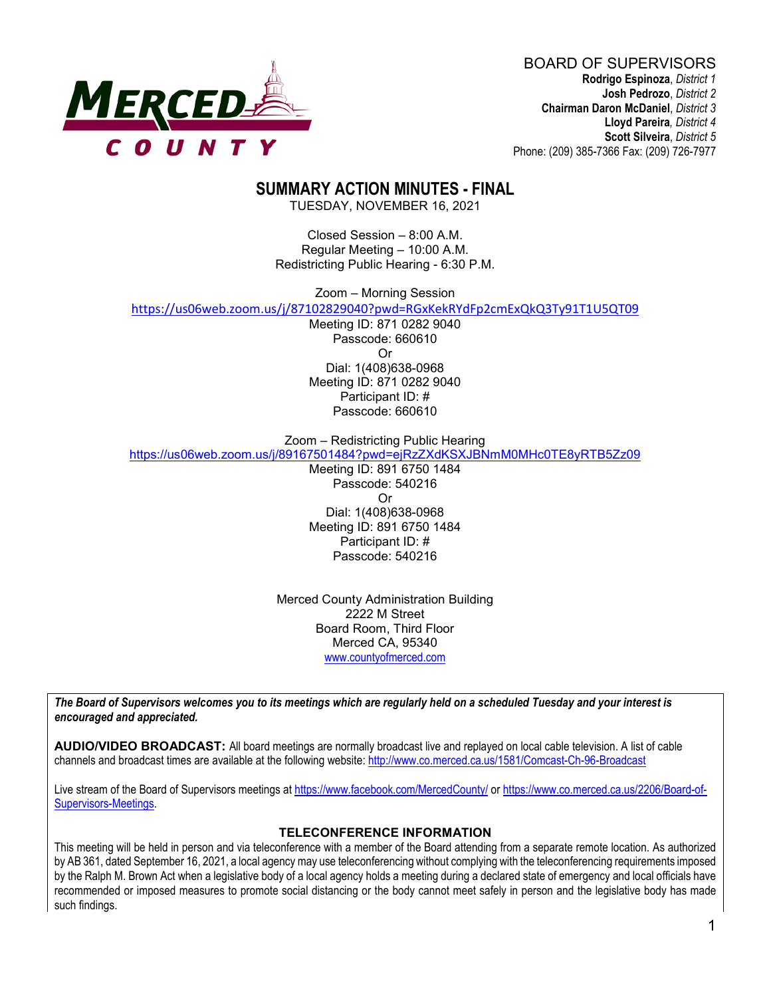

BOARD OF SUPERVISORS **Rodrigo Espinoza**, *District 1* **Josh Pedrozo**, *District 2*  **Chairman Daron McDaniel**, *District 3* **Lloyd Pareira***, District 4*  **Scott Silveira**, *District 5* Phone: (209) 385-7366 Fax: (209) 726-7977

## **SUMMARY ACTION MINUTES - FINAL**

TUESDAY, NOVEMBER 16, 2021

Closed Session – 8:00 A.M. Regular Meeting – 10:00 A.M. Redistricting Public Hearing - 6:30 P.M.

Zoom – Morning Session

<https://us06web.zoom.us/j/87102829040?pwd=RGxKekRYdFp2cmExQkQ3Ty91T1U5QT09>

Meeting ID: 871 0282 9040 Passcode: 660610 Or Dial: 1(408)638-0968 Meeting ID: 871 0282 9040 Participant ID: # Passcode: 660610

Zoom – Redistricting Public Hearing

<https://us06web.zoom.us/j/89167501484?pwd=ejRzZXdKSXJBNmM0MHc0TE8yRTB5Zz09>

Meeting ID: 891 6750 1484 Passcode: 540216 Or Dial: 1(408)638-0968 Meeting ID: 891 6750 1484 Participant ID: # Passcode: 540216

Merced County Administration Building 2222 M Street Board Room, Third Floor Merced CA, 95340 www.countyofmerced.com

*The Board of Supervisors welcomes you to its meetings which are regularly held on a scheduled Tuesday and your interest is encouraged and appreciated.*

**AUDIO/VIDEO BROADCAST:** All board meetings are normally broadcast live and replayed on local cable television. A list of cable channels and broadcast times are available at the following website[: http://www.co.merced.ca.us/1581/Comcast-Ch-96-Broadcast](http://www.co.merced.ca.us/1581/Comcast-Ch-96-Broadcast)

Live stream of the Board of Supervisors meetings at<https://www.facebook.com/MercedCounty/> o[r https://www.co.merced.ca.us/2206/Board-of-](https://www.co.merced.ca.us/2206/Board-of-Supervisors-Meetings)[Supervisors-Meetings.](https://www.co.merced.ca.us/2206/Board-of-Supervisors-Meetings)

#### **TELECONFERENCE INFORMATION**

This meeting will be held in person and via teleconference with a member of the Board attending from a separate remote location. As authorized by AB 361, dated September 16, 2021, a local agency may use teleconferencing without complying with the teleconferencing requirements imposed by the Ralph M. Brown Act when a legislative body of a local agency holds a meeting during a declared state of emergency and local officials have recommended or imposed measures to promote social distancing or the body cannot meet safely in person and the legislative body has made such findings.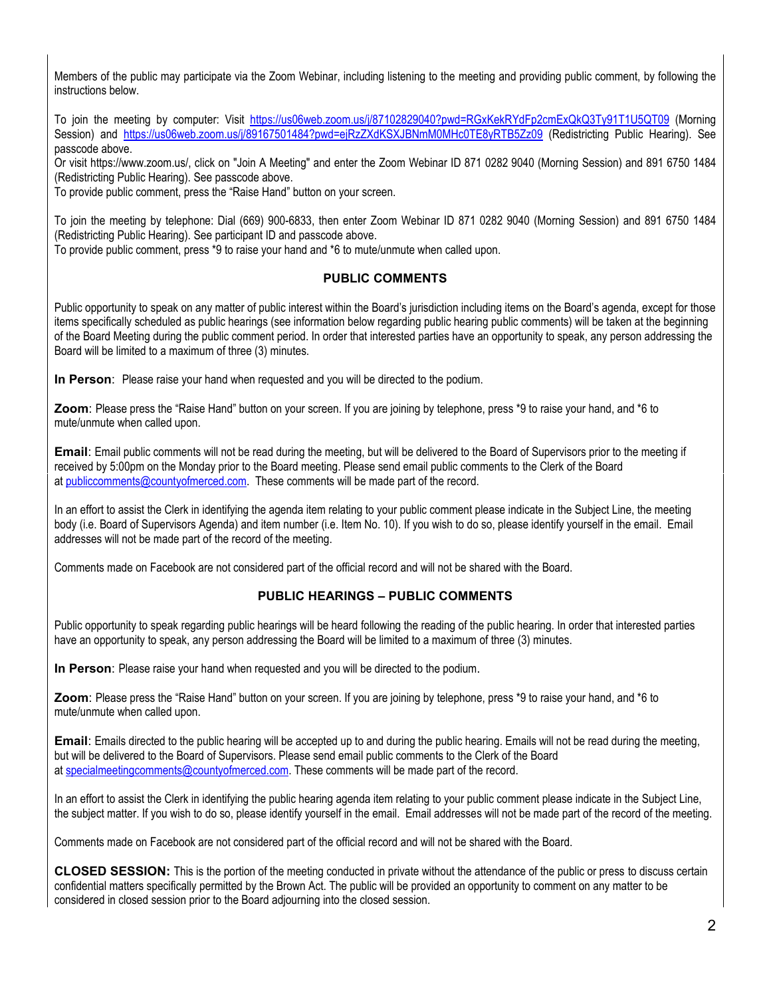Members of the public may participate via the Zoom Webinar, including listening to the meeting and providing public comment, by following the instructions below.

To join the meeting by computer: Visit <https://us06web.zoom.us/j/87102829040?pwd=RGxKekRYdFp2cmExQkQ3Ty91T1U5QT09> (Morning Session) and <https://us06web.zoom.us/j/89167501484?pwd=ejRzZXdKSXJBNmM0MHc0TE8yRTB5Zz09> (Redistricting Public Hearing). See passcode above.

Or visit https://www.zoom.us/, click on "Join A Meeting" and enter the Zoom Webinar ID 871 0282 9040 (Morning Session) and 891 6750 1484 (Redistricting Public Hearing). See passcode above.

To provide public comment, press the "Raise Hand" button on your screen.

To join the meeting by telephone: Dial (669) 900-6833, then enter Zoom Webinar ID 871 0282 9040 (Morning Session) and 891 6750 1484 (Redistricting Public Hearing). See participant ID and passcode above.

To provide public comment, press \*9 to raise your hand and \*6 to mute/unmute when called upon.

#### **PUBLIC COMMENTS**

Public opportunity to speak on any matter of public interest within the Board's jurisdiction including items on the Board's agenda, except for those items specifically scheduled as public hearings (see information below regarding public hearing public comments) will be taken at the beginning of the Board Meeting during the public comment period. In order that interested parties have an opportunity to speak, any person addressing the Board will be limited to a maximum of three (3) minutes.

**In Person**: Please raise your hand when requested and you will be directed to the podium.

**Zoom**: Please press the "Raise Hand" button on your screen. If you are joining by telephone, press \*9 to raise your hand, and \*6 to mute/unmute when called upon.

**Email**: Email public comments will not be read during the meeting, but will be delivered to the Board of Supervisors prior to the meeting if received by 5:00pm on the Monday prior to the Board meeting. Please send email public comments to the Clerk of the Board at [publiccomments@countyofmerced.com.](mailto:publiccomments@countyofmerced.com) These comments will be made part of the record.

In an effort to assist the Clerk in identifying the agenda item relating to your public comment please indicate in the Subject Line, the meeting body (i.e. Board of Supervisors Agenda) and item number (i.e. Item No. 10). If you wish to do so, please identify yourself in the email. Email addresses will not be made part of the record of the meeting.

Comments made on Facebook are not considered part of the official record and will not be shared with the Board.

#### **PUBLIC HEARINGS – PUBLIC COMMENTS**

Public opportunity to speak regarding public hearings will be heard following the reading of the public hearing. In order that interested parties have an opportunity to speak, any person addressing the Board will be limited to a maximum of three (3) minutes.

**In Person**: Please raise your hand when requested and you will be directed to the podium.

**Zoom**: Please press the "Raise Hand" button on your screen. If you are joining by telephone, press \*9 to raise your hand, and \*6 to mute/unmute when called upon.

**Email**: Emails directed to the public hearing will be accepted up to and during the public hearing. Emails will not be read during the meeting, but will be delivered to the Board of Supervisors. Please send email public comments to the Clerk of the Board at [specialmeetingcomments@countyofmerced.com.](mailto:specialmeetingcomments@countyofmerced.com) These comments will be made part of the record.

In an effort to assist the Clerk in identifying the public hearing agenda item relating to your public comment please indicate in the Subject Line, the subject matter. If you wish to do so, please identify yourself in the email. Email addresses will not be made part of the record of the meeting.

Comments made on Facebook are not considered part of the official record and will not be shared with the Board.

**CLOSED SESSION:** This is the portion of the meeting conducted in private without the attendance of the public or press to discuss certain confidential matters specifically permitted by the Brown Act. The public will be provided an opportunity to comment on any matter to be considered in closed session prior to the Board adjourning into the closed session.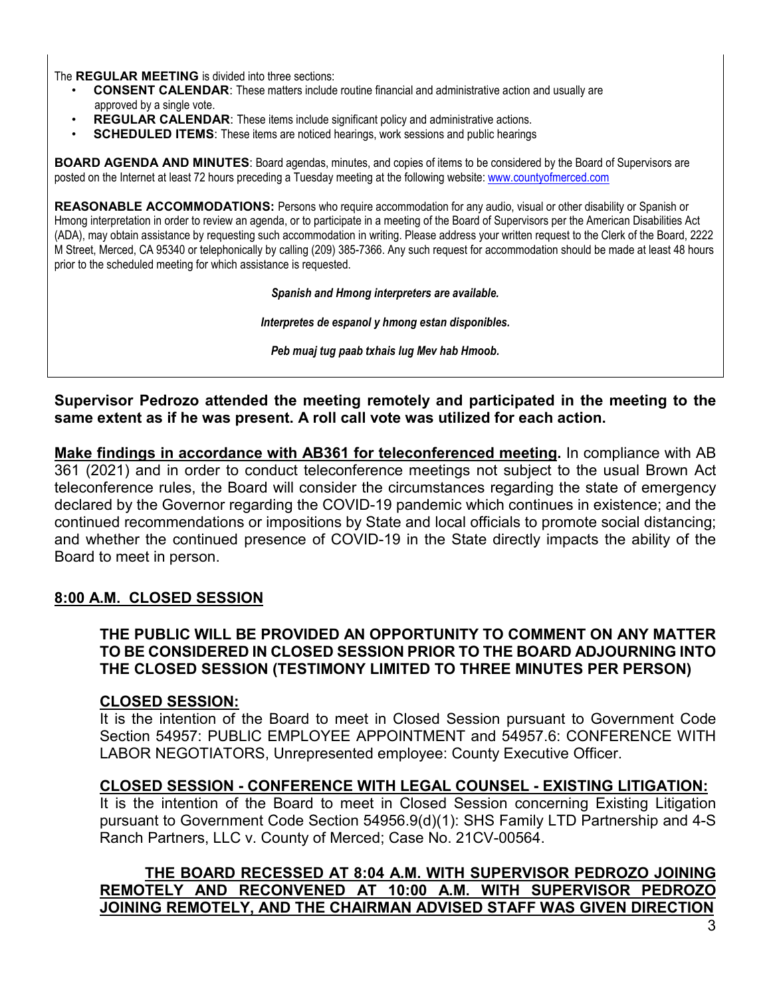The **REGULAR MEETING** is divided into three sections:

- **CONSENT CALENDAR**: These matters include routine financial and administrative action and usually are approved by a single vote.
- **REGULAR CALENDAR:** These items include significant policy and administrative actions.
- **SCHEDULED ITEMS:** These items are noticed hearings, work sessions and public hearings

**BOARD AGENDA AND MINUTES**: Board agendas, minutes, and copies of items to be considered by the Board of Supervisors are posted on the Internet at least 72 hours preceding a Tuesday meeting at the following website: [www.countyofmerced.com](http://www.countyofmerced.com/) 

**REASONABLE ACCOMMODATIONS:** Persons who require accommodation for any audio, visual or other disability or Spanish or Hmong interpretation in order to review an agenda, or to participate in a meeting of the Board of Supervisors per the American Disabilities Act (ADA), may obtain assistance by requesting such accommodation in writing. Please address your written request to the Clerk of the Board, 2222 M Street, Merced, CA 95340 or telephonically by calling (209) 385-7366. Any such request for accommodation should be made at least 48 hours prior to the scheduled meeting for which assistance is requested.

*Spanish and Hmong interpreters are available.*

*Interpretes de espanol y hmong estan disponibles.*

*Peb muaj tug paab txhais lug Mev hab Hmoob.* 

**Supervisor Pedrozo attended the meeting remotely and participated in the meeting to the same extent as if he was present. A roll call vote was utilized for each action.**

**Make findings in accordance with AB361 for teleconferenced meeting.** In compliance with AB 361 (2021) and in order to conduct teleconference meetings not subject to the usual Brown Act teleconference rules, the Board will consider the circumstances regarding the state of emergency declared by the Governor regarding the COVID-19 pandemic which continues in existence; and the continued recommendations or impositions by State and local officials to promote social distancing; and whether the continued presence of COVID-19 in the State directly impacts the ability of the Board to meet in person.

### **8:00 A.M. CLOSED SESSION**

**THE PUBLIC WILL BE PROVIDED AN OPPORTUNITY TO COMMENT ON ANY MATTER TO BE CONSIDERED IN CLOSED SESSION PRIOR TO THE BOARD ADJOURNING INTO THE CLOSED SESSION (TESTIMONY LIMITED TO THREE MINUTES PER PERSON)**

#### **CLOSED SESSION:**

It is the intention of the Board to meet in Closed Session pursuant to Government Code Section 54957: PUBLIC EMPLOYEE APPOINTMENT and 54957.6: CONFERENCE WITH LABOR NEGOTIATORS, Unrepresented employee: County Executive Officer.

### **CLOSED SESSION - CONFERENCE WITH LEGAL COUNSEL - EXISTING LITIGATION:**

It is the intention of the Board to meet in Closed Session concerning Existing Litigation pursuant to Government Code Section 54956.9(d)(1): SHS Family LTD Partnership and 4-S Ranch Partners, LLC v. County of Merced; Case No. 21CV-00564.

### **THE BOARD RECESSED AT 8:04 A.M. WITH SUPERVISOR PEDROZO JOINING REMOTELY AND RECONVENED AT 10:00 A.M. WITH SUPERVISOR PEDROZO JOINING REMOTELY, AND THE CHAIRMAN ADVISED STAFF WAS GIVEN DIRECTION**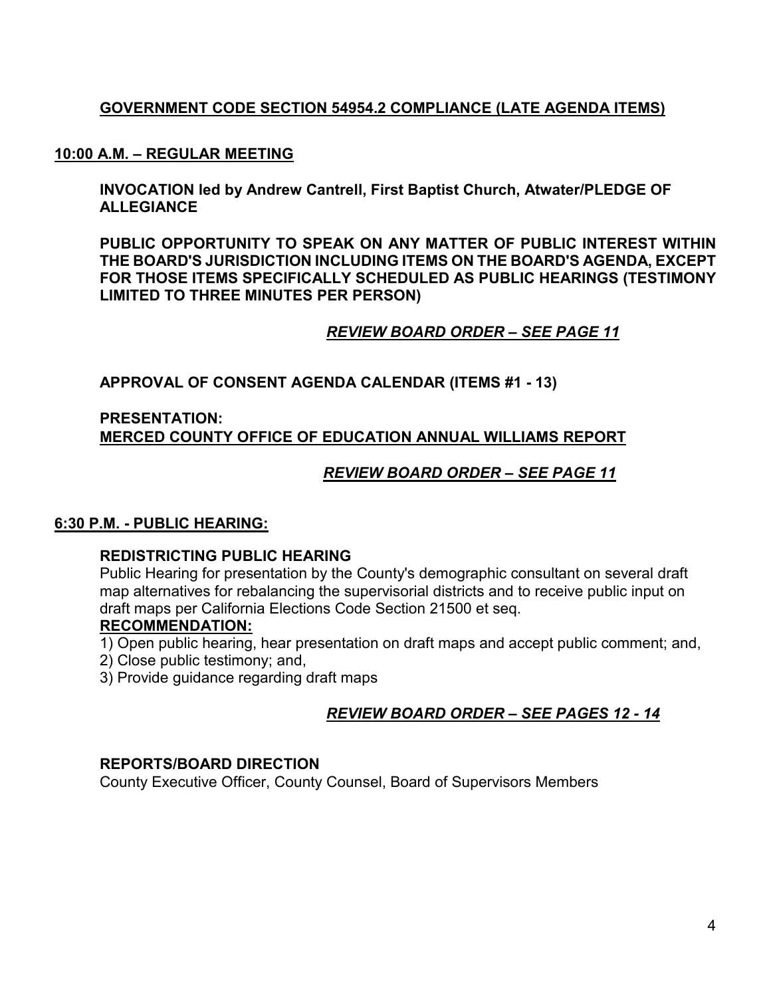## **GOVERNMENT CODE SECTION 54954.2 COMPLIANCE (LATE AGENDA ITEMS)**

#### **10:00 A.M. – REGULAR MEETING**

**INVOCATION led by Andrew Cantrell, First Baptist Church, Atwater/PLEDGE OF ALLEGIANCE**

**PUBLIC OPPORTUNITY TO SPEAK ON ANY MATTER OF PUBLIC INTEREST WITHIN THE BOARD'S JURISDICTION INCLUDING ITEMS ON THE BOARD'S AGENDA, EXCEPT FOR THOSE ITEMS SPECIFICALLY SCHEDULED AS PUBLIC HEARINGS (TESTIMONY LIMITED TO THREE MINUTES PER PERSON)**

### *REVIEW BOARD ORDER – SEE PAGE 11*

**APPROVAL OF CONSENT AGENDA CALENDAR (ITEMS #1 - 13)**

### **PRESENTATION: MERCED COUNTY OFFICE OF EDUCATION ANNUAL WILLIAMS REPORT**

### *REVIEW BOARD ORDER – SEE PAGE 11*

### **6:30 P.M. - PUBLIC HEARING:**

### **REDISTRICTING PUBLIC HEARING**

Public Hearing for presentation by the County's demographic consultant on several draft map alternatives for rebalancing the supervisorial districts and to receive public input on draft maps per California Elections Code Section 21500 et seq.

### **RECOMMENDATION:**

- 1) Open public hearing, hear presentation on draft maps and accept public comment; and,
- 2) Close public testimony; and,
- 3) Provide guidance regarding draft maps

## *REVIEW BOARD ORDER – SEE PAGES 12 - 14*

#### **REPORTS/BOARD DIRECTION**

County Executive Officer, County Counsel, Board of Supervisors Members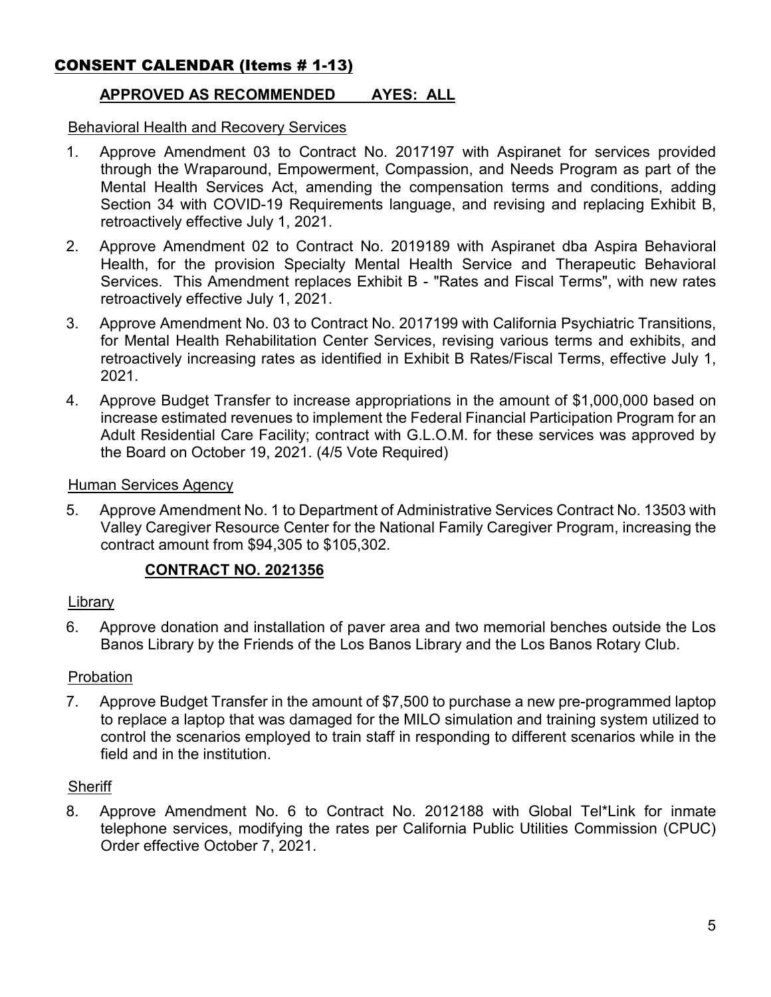# CONSENT CALENDAR (Items # 1-13)

## **APPROVED AS RECOMMENDED AYES: ALL**

#### Behavioral Health and Recovery Services

- 1. Approve Amendment 03 to Contract No. 2017197 with Aspiranet for services provided through the Wraparound, Empowerment, Compassion, and Needs Program as part of the Mental Health Services Act, amending the compensation terms and conditions, adding Section 34 with COVID-19 Requirements language, and revising and replacing Exhibit B, retroactively effective July 1, 2021.
- 2. Approve Amendment 02 to Contract No. 2019189 with Aspiranet dba Aspira Behavioral Health, for the provision Specialty Mental Health Service and Therapeutic Behavioral Services. This Amendment replaces Exhibit B - "Rates and Fiscal Terms", with new rates retroactively effective July 1, 2021.
- 3. Approve Amendment No. 03 to Contract No. 2017199 with California Psychiatric Transitions, for Mental Health Rehabilitation Center Services, revising various terms and exhibits, and retroactively increasing rates as identified in Exhibit B Rates/Fiscal Terms, effective July 1, 2021.
- 4. Approve Budget Transfer to increase appropriations in the amount of \$1,000,000 based on increase estimated revenues to implement the Federal Financial Participation Program for an Adult Residential Care Facility; contract with G.L.O.M. for these services was approved by the Board on October 19, 2021. (4/5 Vote Required)

### Human Services Agency

5. Approve Amendment No. 1 to Department of Administrative Services Contract No. 13503 with Valley Caregiver Resource Center for the National Family Caregiver Program, increasing the contract amount from \$94,305 to \$105,302.

### **CONTRACT NO. 2021356**

### Library

6. Approve donation and installation of paver area and two memorial benches outside the Los Banos Library by the Friends of the Los Banos Library and the Los Banos Rotary Club.

### Probation

7. Approve Budget Transfer in the amount of \$7,500 to purchase a new pre-programmed laptop to replace a laptop that was damaged for the MILO simulation and training system utilized to control the scenarios employed to train staff in responding to different scenarios while in the field and in the institution.

#### **Sheriff**

8. Approve Amendment No. 6 to Contract No. 2012188 with Global Tel\*Link for inmate telephone services, modifying the rates per California Public Utilities Commission (CPUC) Order effective October 7, 2021.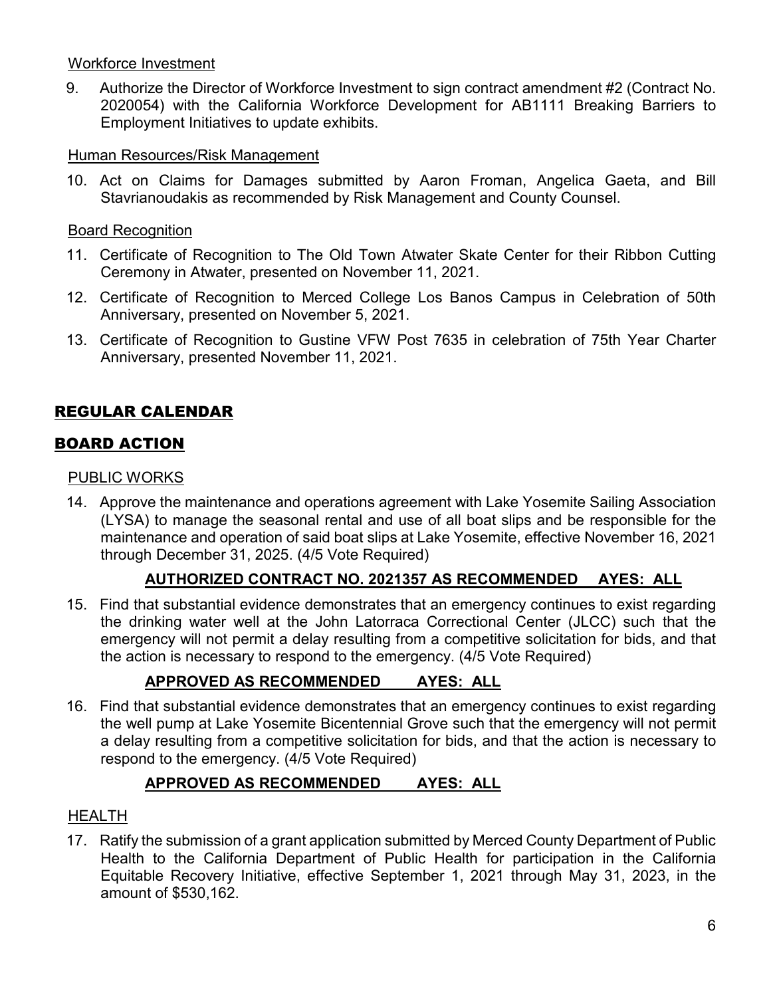### Workforce Investment

9. Authorize the Director of Workforce Investment to sign contract amendment #2 (Contract No. 2020054) with the California Workforce Development for AB1111 Breaking Barriers to Employment Initiatives to update exhibits.

### Human Resources/Risk Management

10. Act on Claims for Damages submitted by Aaron Froman, Angelica Gaeta, and Bill Stavrianoudakis as recommended by Risk Management and County Counsel.

### Board Recognition

- 11. Certificate of Recognition to The Old Town Atwater Skate Center for their Ribbon Cutting Ceremony in Atwater, presented on November 11, 2021.
- 12. Certificate of Recognition to Merced College Los Banos Campus in Celebration of 50th Anniversary, presented on November 5, 2021.
- 13. Certificate of Recognition to Gustine VFW Post 7635 in celebration of 75th Year Charter Anniversary, presented November 11, 2021.

# REGULAR CALENDAR

## BOARD ACTION

### PUBLIC WORKS

14. Approve the maintenance and operations agreement with Lake Yosemite Sailing Association (LYSA) to manage the seasonal rental and use of all boat slips and be responsible for the maintenance and operation of said boat slips at Lake Yosemite, effective November 16, 2021 through December 31, 2025. (4/5 Vote Required)

## **AUTHORIZED CONTRACT NO. 2021357 AS RECOMMENDED AYES: ALL**

15. Find that substantial evidence demonstrates that an emergency continues to exist regarding the drinking water well at the John Latorraca Correctional Center (JLCC) such that the emergency will not permit a delay resulting from a competitive solicitation for bids, and that the action is necessary to respond to the emergency. (4/5 Vote Required)

# **APPROVED AS RECOMMENDED AYES: ALL**

16. Find that substantial evidence demonstrates that an emergency continues to exist regarding the well pump at Lake Yosemite Bicentennial Grove such that the emergency will not permit a delay resulting from a competitive solicitation for bids, and that the action is necessary to respond to the emergency. (4/5 Vote Required)

# **APPROVED AS RECOMMENDED AYES: ALL**

## **HEALTH**

17. Ratify the submission of a grant application submitted by Merced County Department of Public Health to the California Department of Public Health for participation in the California Equitable Recovery Initiative, effective September 1, 2021 through May 31, 2023, in the amount of \$530,162.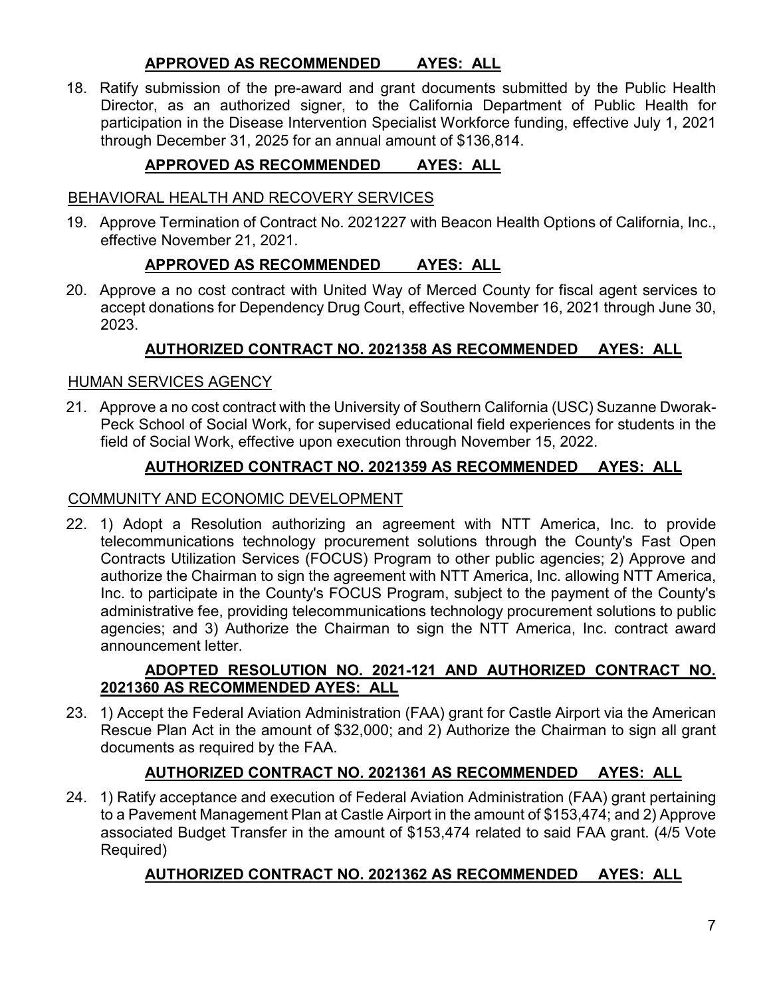### **APPROVED AS RECOMMENDED AYES: ALL**

18. Ratify submission of the pre-award and grant documents submitted by the Public Health Director, as an authorized signer, to the California Department of Public Health for participation in the Disease Intervention Specialist Workforce funding, effective July 1, 2021 through December 31, 2025 for an annual amount of \$136,814.

# **APPROVED AS RECOMMENDED AYES: ALL**

### BEHAVIORAL HEALTH AND RECOVERY SERVICES

19. Approve Termination of Contract No. 2021227 with Beacon Health Options of California, Inc., effective November 21, 2021.

## **APPROVED AS RECOMMENDED AYES: ALL**

20. Approve a no cost contract with United Way of Merced County for fiscal agent services to accept donations for Dependency Drug Court, effective November 16, 2021 through June 30, 2023.

## **AUTHORIZED CONTRACT NO. 2021358 AS RECOMMENDED AYES: ALL**

### HUMAN SERVICES AGENCY

21. Approve a no cost contract with the University of Southern California (USC) Suzanne Dworak-Peck School of Social Work, for supervised educational field experiences for students in the field of Social Work, effective upon execution through November 15, 2022.

## **AUTHORIZED CONTRACT NO. 2021359 AS RECOMMENDED AYES: ALL**

### COMMUNITY AND ECONOMIC DEVELOPMENT

22. 1) Adopt a Resolution authorizing an agreement with NTT America, Inc. to provide telecommunications technology procurement solutions through the County's Fast Open Contracts Utilization Services (FOCUS) Program to other public agencies; 2) Approve and authorize the Chairman to sign the agreement with NTT America, Inc. allowing NTT America, Inc. to participate in the County's FOCUS Program, subject to the payment of the County's administrative fee, providing telecommunications technology procurement solutions to public agencies; and 3) Authorize the Chairman to sign the NTT America, Inc. contract award announcement letter.

### **ADOPTED RESOLUTION NO. 2021-121 AND AUTHORIZED CONTRACT NO. 2021360 AS RECOMMENDED AYES: ALL**

23. 1) Accept the Federal Aviation Administration (FAA) grant for Castle Airport via the American Rescue Plan Act in the amount of \$32,000; and 2) Authorize the Chairman to sign all grant documents as required by the FAA.

## **AUTHORIZED CONTRACT NO. 2021361 AS RECOMMENDED AYES: ALL**

24. 1) Ratify acceptance and execution of Federal Aviation Administration (FAA) grant pertaining to a Pavement Management Plan at Castle Airport in the amount of \$153,474; and 2) Approve associated Budget Transfer in the amount of \$153,474 related to said FAA grant. (4/5 Vote Required)

# **AUTHORIZED CONTRACT NO. 2021362 AS RECOMMENDED AYES: ALL**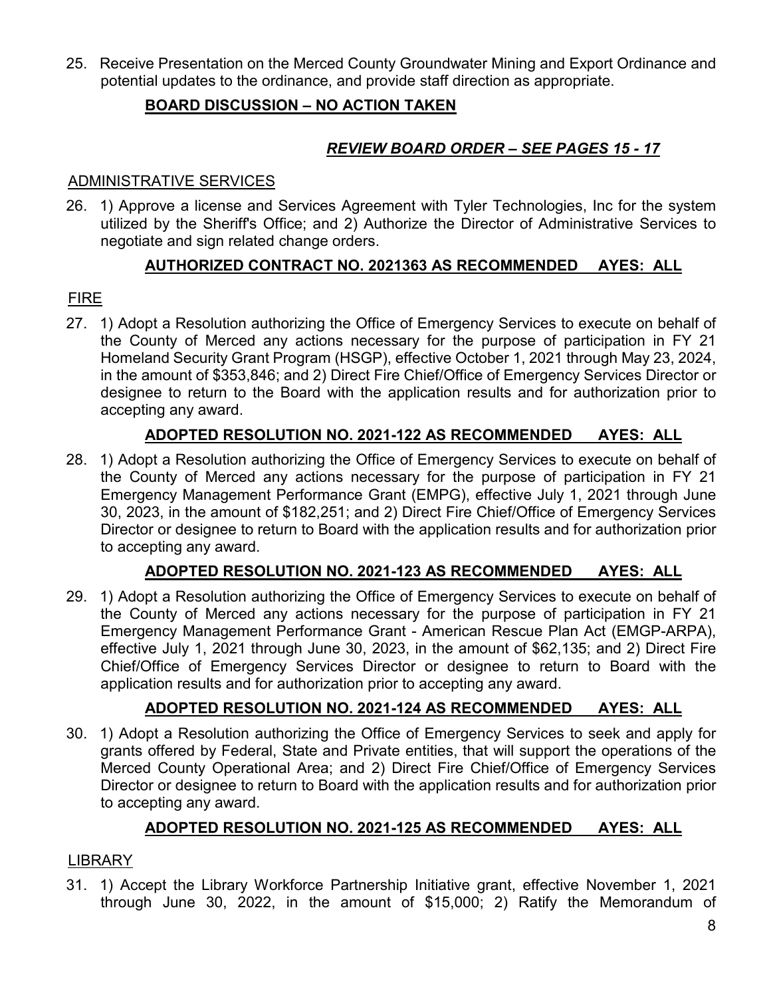25. Receive Presentation on the Merced County Groundwater Mining and Export Ordinance and potential updates to the ordinance, and provide staff direction as appropriate.

## **BOARD DISCUSSION – NO ACTION TAKEN**

# *REVIEW BOARD ORDER – SEE PAGES 15 - 17*

### ADMINISTRATIVE SERVICES

26. 1) Approve a license and Services Agreement with Tyler Technologies, Inc for the system utilized by the Sheriff's Office; and 2) Authorize the Director of Administrative Services to negotiate and sign related change orders.

## **AUTHORIZED CONTRACT NO. 2021363 AS RECOMMENDED AYES: ALL**

## FIRE

27. 1) Adopt a Resolution authorizing the Office of Emergency Services to execute on behalf of the County of Merced any actions necessary for the purpose of participation in FY 21 Homeland Security Grant Program (HSGP), effective October 1, 2021 through May 23, 2024, in the amount of \$353,846; and 2) Direct Fire Chief/Office of Emergency Services Director or designee to return to the Board with the application results and for authorization prior to accepting any award.

# **ADOPTED RESOLUTION NO. 2021-122 AS RECOMMENDED AYES: ALL**

28. 1) Adopt a Resolution authorizing the Office of Emergency Services to execute on behalf of the County of Merced any actions necessary for the purpose of participation in FY 21 Emergency Management Performance Grant (EMPG), effective July 1, 2021 through June 30, 2023, in the amount of \$182,251; and 2) Direct Fire Chief/Office of Emergency Services Director or designee to return to Board with the application results and for authorization prior to accepting any award.

# **ADOPTED RESOLUTION NO. 2021-123 AS RECOMMENDED AYES: ALL**

29. 1) Adopt a Resolution authorizing the Office of Emergency Services to execute on behalf of the County of Merced any actions necessary for the purpose of participation in FY 21 Emergency Management Performance Grant - American Rescue Plan Act (EMGP-ARPA), effective July 1, 2021 through June 30, 2023, in the amount of \$62,135; and 2) Direct Fire Chief/Office of Emergency Services Director or designee to return to Board with the application results and for authorization prior to accepting any award.

# **ADOPTED RESOLUTION NO. 2021-124 AS RECOMMENDED AYES: ALL**

30. 1) Adopt a Resolution authorizing the Office of Emergency Services to seek and apply for grants offered by Federal, State and Private entities, that will support the operations of the Merced County Operational Area; and 2) Direct Fire Chief/Office of Emergency Services Director or designee to return to Board with the application results and for authorization prior to accepting any award.

# **ADOPTED RESOLUTION NO. 2021-125 AS RECOMMENDED AYES: ALL**

## LIBRARY

31. 1) Accept the Library Workforce Partnership Initiative grant, effective November 1, 2021 through June 30, 2022, in the amount of \$15,000; 2) Ratify the Memorandum of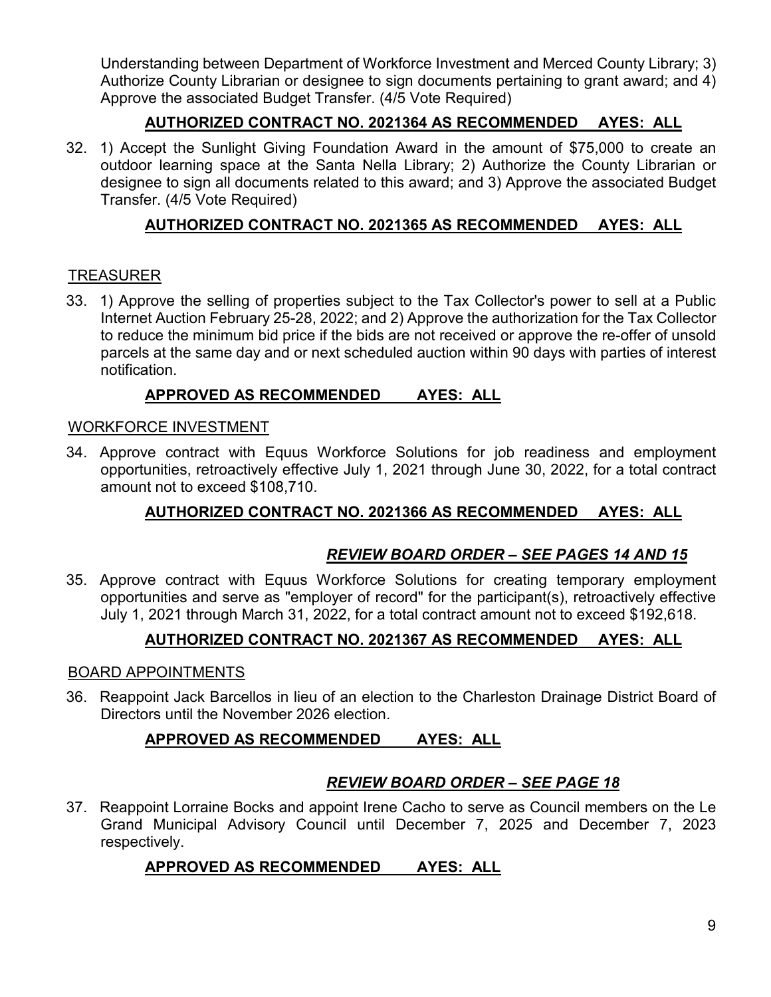Understanding between Department of Workforce Investment and Merced County Library; 3) Authorize County Librarian or designee to sign documents pertaining to grant award; and 4) Approve the associated Budget Transfer. (4/5 Vote Required)

## **AUTHORIZED CONTRACT NO. 2021364 AS RECOMMENDED AYES: ALL**

32. 1) Accept the Sunlight Giving Foundation Award in the amount of \$75,000 to create an outdoor learning space at the Santa Nella Library; 2) Authorize the County Librarian or designee to sign all documents related to this award; and 3) Approve the associated Budget Transfer. (4/5 Vote Required)

## **AUTHORIZED CONTRACT NO. 2021365 AS RECOMMENDED AYES: ALL**

## TREASURER

33. 1) Approve the selling of properties subject to the Tax Collector's power to sell at a Public Internet Auction February 25-28, 2022; and 2) Approve the authorization for the Tax Collector to reduce the minimum bid price if the bids are not received or approve the re-offer of unsold parcels at the same day and or next scheduled auction within 90 days with parties of interest notification.

### **APPROVED AS RECOMMENDED AYES: ALL**

### WORKFORCE INVESTMENT

34. Approve contract with Equus Workforce Solutions for job readiness and employment opportunities, retroactively effective July 1, 2021 through June 30, 2022, for a total contract amount not to exceed \$108,710.

## **AUTHORIZED CONTRACT NO. 2021366 AS RECOMMENDED AYES: ALL**

## *REVIEW BOARD ORDER – SEE PAGES 14 AND 15*

35. Approve contract with Equus Workforce Solutions for creating temporary employment opportunities and serve as "employer of record" for the participant(s), retroactively effective July 1, 2021 through March 31, 2022, for a total contract amount not to exceed \$192,618.

## **AUTHORIZED CONTRACT NO. 2021367 AS RECOMMENDED AYES: ALL**

### BOARD APPOINTMENTS

36. Reappoint Jack Barcellos in lieu of an election to the Charleston Drainage District Board of Directors until the November 2026 election.

## **APPROVED AS RECOMMENDED AYES: ALL**

# *REVIEW BOARD ORDER – SEE PAGE 18*

37. Reappoint Lorraine Bocks and appoint Irene Cacho to serve as Council members on the Le Grand Municipal Advisory Council until December 7, 2025 and December 7, 2023 respectively.

# **APPROVED AS RECOMMENDED AYES: ALL**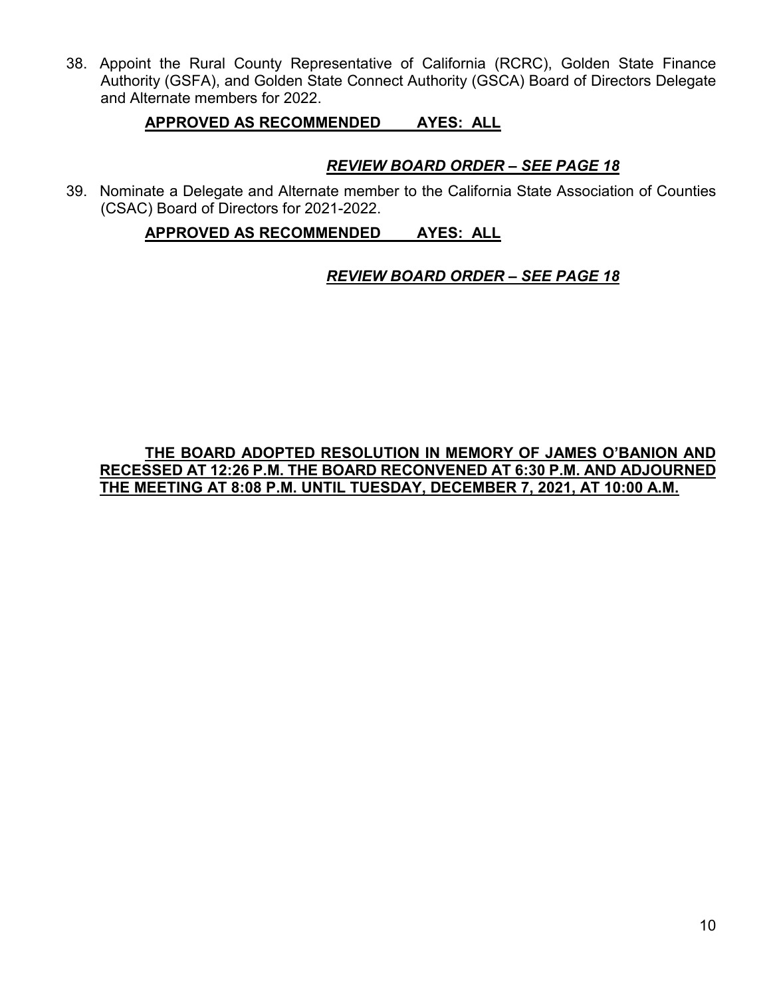38. Appoint the Rural County Representative of California (RCRC), Golden State Finance Authority (GSFA), and Golden State Connect Authority (GSCA) Board of Directors Delegate and Alternate members for 2022.

### **APPROVED AS RECOMMENDED AYES: ALL**

## *REVIEW BOARD ORDER – SEE PAGE 18*

39. Nominate a Delegate and Alternate member to the California State Association of Counties (CSAC) Board of Directors for 2021-2022.

### **APPROVED AS RECOMMENDED AYES: ALL**

## *REVIEW BOARD ORDER – SEE PAGE 18*

### **THE BOARD ADOPTED RESOLUTION IN MEMORY OF JAMES O'BANION AND RECESSED AT 12:26 P.M. THE BOARD RECONVENED AT 6:30 P.M. AND ADJOURNED THE MEETING AT 8:08 P.M. UNTIL TUESDAY, DECEMBER 7, 2021, AT 10:00 A.M.**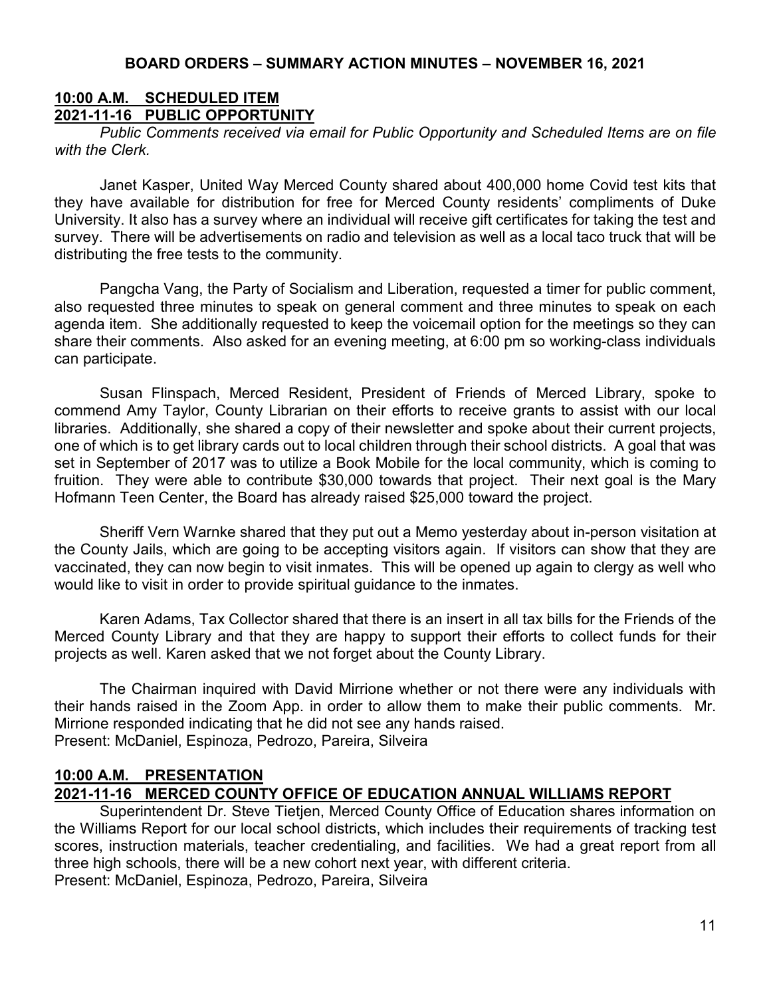### **10:00 A.M. SCHEDULED ITEM 2021-11-16 PUBLIC OPPORTUNITY**

*Public Comments received via email for Public Opportunity and Scheduled Items are on file with the Clerk.*

Janet Kasper, United Way Merced County shared about 400,000 home Covid test kits that they have available for distribution for free for Merced County residents' compliments of Duke University. It also has a survey where an individual will receive gift certificates for taking the test and survey. There will be advertisements on radio and television as well as a local taco truck that will be distributing the free tests to the community.

Pangcha Vang, the Party of Socialism and Liberation, requested a timer for public comment, also requested three minutes to speak on general comment and three minutes to speak on each agenda item. She additionally requested to keep the voicemail option for the meetings so they can share their comments. Also asked for an evening meeting, at 6:00 pm so working-class individuals can participate.

Susan Flinspach, Merced Resident, President of Friends of Merced Library, spoke to commend Amy Taylor, County Librarian on their efforts to receive grants to assist with our local libraries. Additionally, she shared a copy of their newsletter and spoke about their current projects, one of which is to get library cards out to local children through their school districts. A goal that was set in September of 2017 was to utilize a Book Mobile for the local community, which is coming to fruition. They were able to contribute \$30,000 towards that project. Their next goal is the Mary Hofmann Teen Center, the Board has already raised \$25,000 toward the project.

Sheriff Vern Warnke shared that they put out a Memo yesterday about in-person visitation at the County Jails, which are going to be accepting visitors again. If visitors can show that they are vaccinated, they can now begin to visit inmates. This will be opened up again to clergy as well who would like to visit in order to provide spiritual guidance to the inmates.

Karen Adams, Tax Collector shared that there is an insert in all tax bills for the Friends of the Merced County Library and that they are happy to support their efforts to collect funds for their projects as well. Karen asked that we not forget about the County Library.

The Chairman inquired with David Mirrione whether or not there were any individuals with their hands raised in the Zoom App. in order to allow them to make their public comments. Mr. Mirrione responded indicating that he did not see any hands raised. Present: McDaniel, Espinoza, Pedrozo, Pareira, Silveira

## **10:00 A.M. PRESENTATION 2021-11-16 MERCED COUNTY OFFICE OF EDUCATION ANNUAL WILLIAMS REPORT**

Superintendent Dr. Steve Tietjen, Merced County Office of Education shares information on the Williams Report for our local school districts, which includes their requirements of tracking test scores, instruction materials, teacher credentialing, and facilities. We had a great report from all three high schools, there will be a new cohort next year, with different criteria. Present: McDaniel, Espinoza, Pedrozo, Pareira, Silveira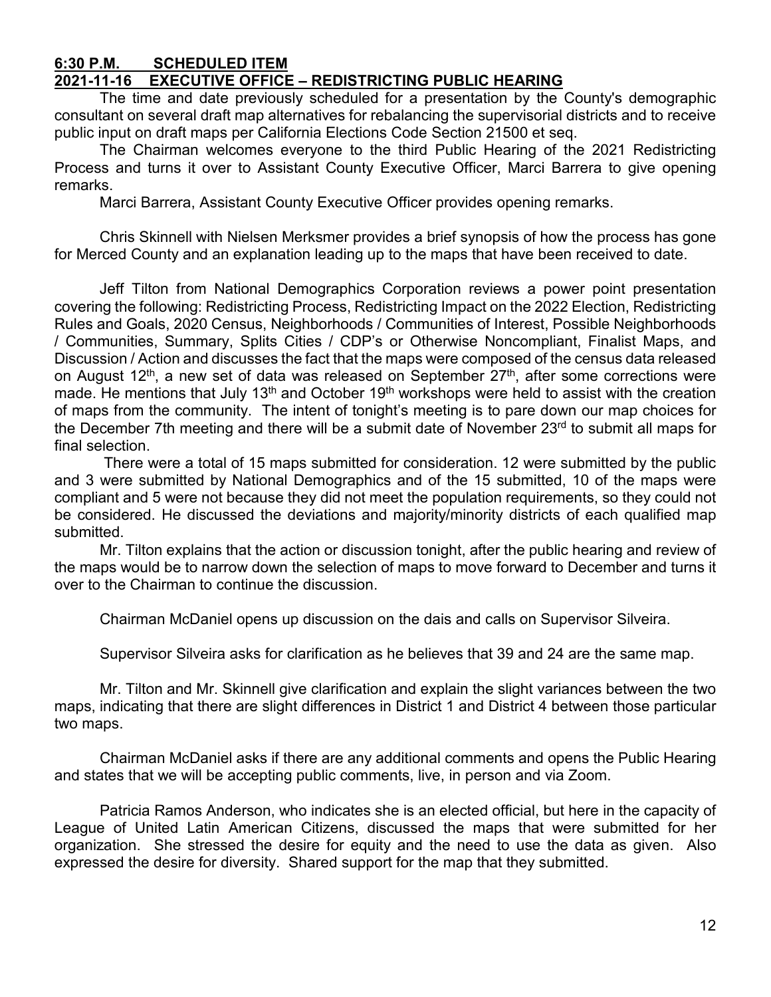#### **6:30 P.M. SCHEDULED ITEM 2021-11-16 EXECUTIVE OFFICE – REDISTRICTING PUBLIC HEARING**

The time and date previously scheduled for a presentation by the County's demographic consultant on several draft map alternatives for rebalancing the supervisorial districts and to receive public input on draft maps per California Elections Code Section 21500 et seq.

The Chairman welcomes everyone to the third Public Hearing of the 2021 Redistricting Process and turns it over to Assistant County Executive Officer, Marci Barrera to give opening remarks.

Marci Barrera, Assistant County Executive Officer provides opening remarks.

Chris Skinnell with Nielsen Merksmer provides a brief synopsis of how the process has gone for Merced County and an explanation leading up to the maps that have been received to date.

Jeff Tilton from National Demographics Corporation reviews a power point presentation covering the following: Redistricting Process, Redistricting Impact on the 2022 Election, Redistricting Rules and Goals, 2020 Census, Neighborhoods / Communities of Interest, Possible Neighborhoods / Communities, Summary, Splits Cities / CDP's or Otherwise Noncompliant, Finalist Maps, and Discussion / Action and discusses the fact that the maps were composed of the census data released on August 12<sup>th</sup>, a new set of data was released on September 27<sup>th</sup>, after some corrections were made. He mentions that July 13<sup>th</sup> and October 19<sup>th</sup> workshops were held to assist with the creation of maps from the community. The intent of tonight's meeting is to pare down our map choices for the December 7th meeting and there will be a submit date of November 23rd to submit all maps for final selection.

There were a total of 15 maps submitted for consideration. 12 were submitted by the public and 3 were submitted by National Demographics and of the 15 submitted, 10 of the maps were compliant and 5 were not because they did not meet the population requirements, so they could not be considered. He discussed the deviations and majority/minority districts of each qualified map submitted.

Mr. Tilton explains that the action or discussion tonight, after the public hearing and review of the maps would be to narrow down the selection of maps to move forward to December and turns it over to the Chairman to continue the discussion.

Chairman McDaniel opens up discussion on the dais and calls on Supervisor Silveira.

Supervisor Silveira asks for clarification as he believes that 39 and 24 are the same map.

Mr. Tilton and Mr. Skinnell give clarification and explain the slight variances between the two maps, indicating that there are slight differences in District 1 and District 4 between those particular two maps.

Chairman McDaniel asks if there are any additional comments and opens the Public Hearing and states that we will be accepting public comments, live, in person and via Zoom.

Patricia Ramos Anderson, who indicates she is an elected official, but here in the capacity of League of United Latin American Citizens, discussed the maps that were submitted for her organization. She stressed the desire for equity and the need to use the data as given. Also expressed the desire for diversity. Shared support for the map that they submitted.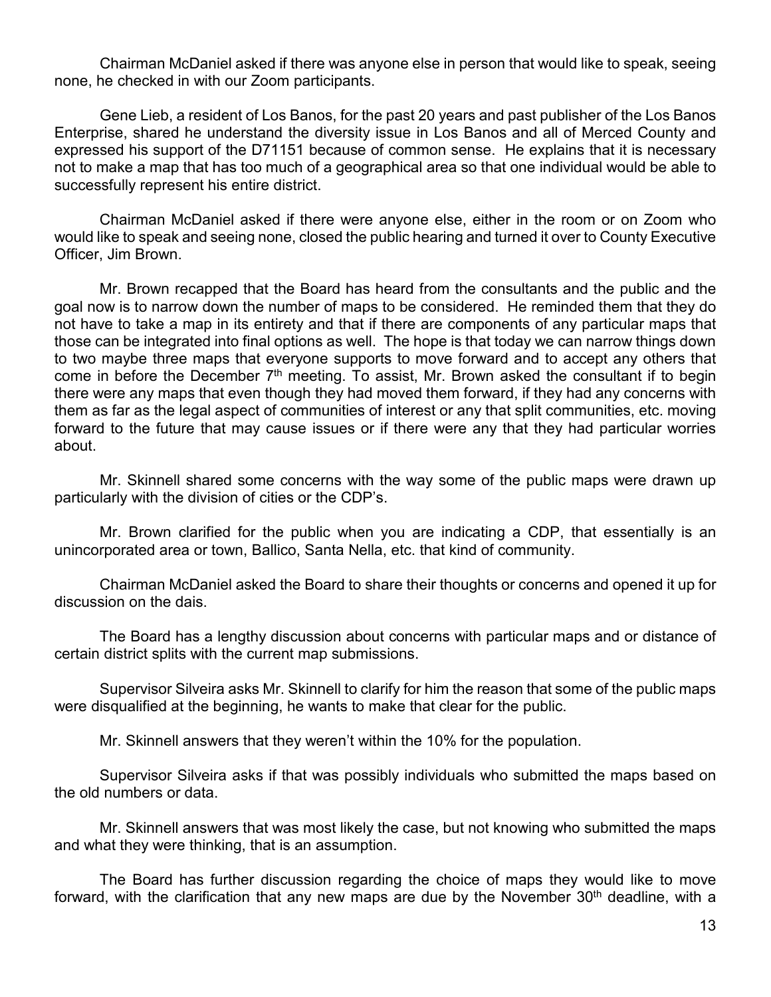Chairman McDaniel asked if there was anyone else in person that would like to speak, seeing none, he checked in with our Zoom participants.

Gene Lieb, a resident of Los Banos, for the past 20 years and past publisher of the Los Banos Enterprise, shared he understand the diversity issue in Los Banos and all of Merced County and expressed his support of the D71151 because of common sense. He explains that it is necessary not to make a map that has too much of a geographical area so that one individual would be able to successfully represent his entire district.

Chairman McDaniel asked if there were anyone else, either in the room or on Zoom who would like to speak and seeing none, closed the public hearing and turned it over to County Executive Officer, Jim Brown.

Mr. Brown recapped that the Board has heard from the consultants and the public and the goal now is to narrow down the number of maps to be considered. He reminded them that they do not have to take a map in its entirety and that if there are components of any particular maps that those can be integrated into final options as well. The hope is that today we can narrow things down to two maybe three maps that everyone supports to move forward and to accept any others that come in before the December  $7<sup>th</sup>$  meeting. To assist, Mr. Brown asked the consultant if to begin there were any maps that even though they had moved them forward, if they had any concerns with them as far as the legal aspect of communities of interest or any that split communities, etc. moving forward to the future that may cause issues or if there were any that they had particular worries about.

Mr. Skinnell shared some concerns with the way some of the public maps were drawn up particularly with the division of cities or the CDP's.

Mr. Brown clarified for the public when you are indicating a CDP, that essentially is an unincorporated area or town, Ballico, Santa Nella, etc. that kind of community.

Chairman McDaniel asked the Board to share their thoughts or concerns and opened it up for discussion on the dais.

The Board has a lengthy discussion about concerns with particular maps and or distance of certain district splits with the current map submissions.

Supervisor Silveira asks Mr. Skinnell to clarify for him the reason that some of the public maps were disqualified at the beginning, he wants to make that clear for the public.

Mr. Skinnell answers that they weren't within the 10% for the population.

Supervisor Silveira asks if that was possibly individuals who submitted the maps based on the old numbers or data.

Mr. Skinnell answers that was most likely the case, but not knowing who submitted the maps and what they were thinking, that is an assumption.

The Board has further discussion regarding the choice of maps they would like to move forward, with the clarification that any new maps are due by the November  $30<sup>th</sup>$  deadline, with a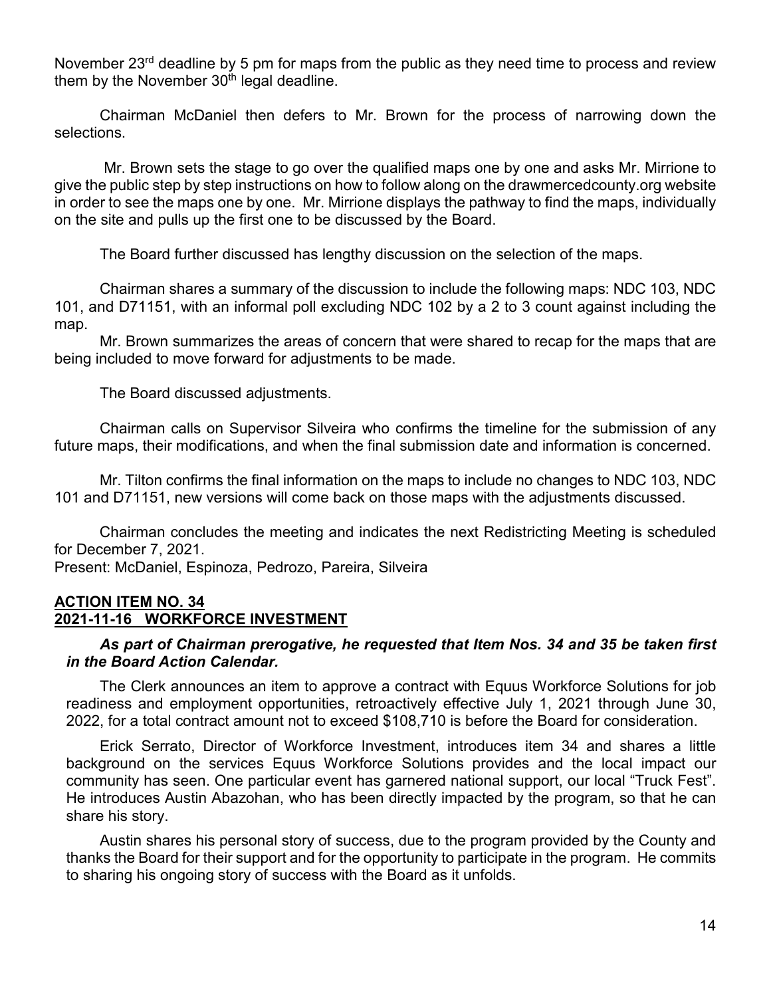November 23<sup>rd</sup> deadline by 5 pm for maps from the public as they need time to process and review them by the November  $30<sup>th</sup>$  legal deadline.

Chairman McDaniel then defers to Mr. Brown for the process of narrowing down the selections.

Mr. Brown sets the stage to go over the qualified maps one by one and asks Mr. Mirrione to give the public step by step instructions on how to follow along on the drawmercedcounty.org website in order to see the maps one by one. Mr. Mirrione displays the pathway to find the maps, individually on the site and pulls up the first one to be discussed by the Board.

The Board further discussed has lengthy discussion on the selection of the maps.

Chairman shares a summary of the discussion to include the following maps: NDC 103, NDC 101, and D71151, with an informal poll excluding NDC 102 by a 2 to 3 count against including the map.

Mr. Brown summarizes the areas of concern that were shared to recap for the maps that are being included to move forward for adjustments to be made.

The Board discussed adjustments.

Chairman calls on Supervisor Silveira who confirms the timeline for the submission of any future maps, their modifications, and when the final submission date and information is concerned.

Mr. Tilton confirms the final information on the maps to include no changes to NDC 103, NDC 101 and D71151, new versions will come back on those maps with the adjustments discussed.

Chairman concludes the meeting and indicates the next Redistricting Meeting is scheduled for December 7, 2021.

Present: McDaniel, Espinoza, Pedrozo, Pareira, Silveira

### **ACTION ITEM NO. 34 2021-11-16 WORKFORCE INVESTMENT**

#### *As part of Chairman prerogative, he requested that Item Nos. 34 and 35 be taken first in the Board Action Calendar.*

The Clerk announces an item to approve a contract with Equus Workforce Solutions for job readiness and employment opportunities, retroactively effective July 1, 2021 through June 30, 2022, for a total contract amount not to exceed \$108,710 is before the Board for consideration.

Erick Serrato, Director of Workforce Investment, introduces item 34 and shares a little background on the services Equus Workforce Solutions provides and the local impact our community has seen. One particular event has garnered national support, our local "Truck Fest". He introduces Austin Abazohan, who has been directly impacted by the program, so that he can share his story.

Austin shares his personal story of success, due to the program provided by the County and thanks the Board for their support and for the opportunity to participate in the program. He commits to sharing his ongoing story of success with the Board as it unfolds.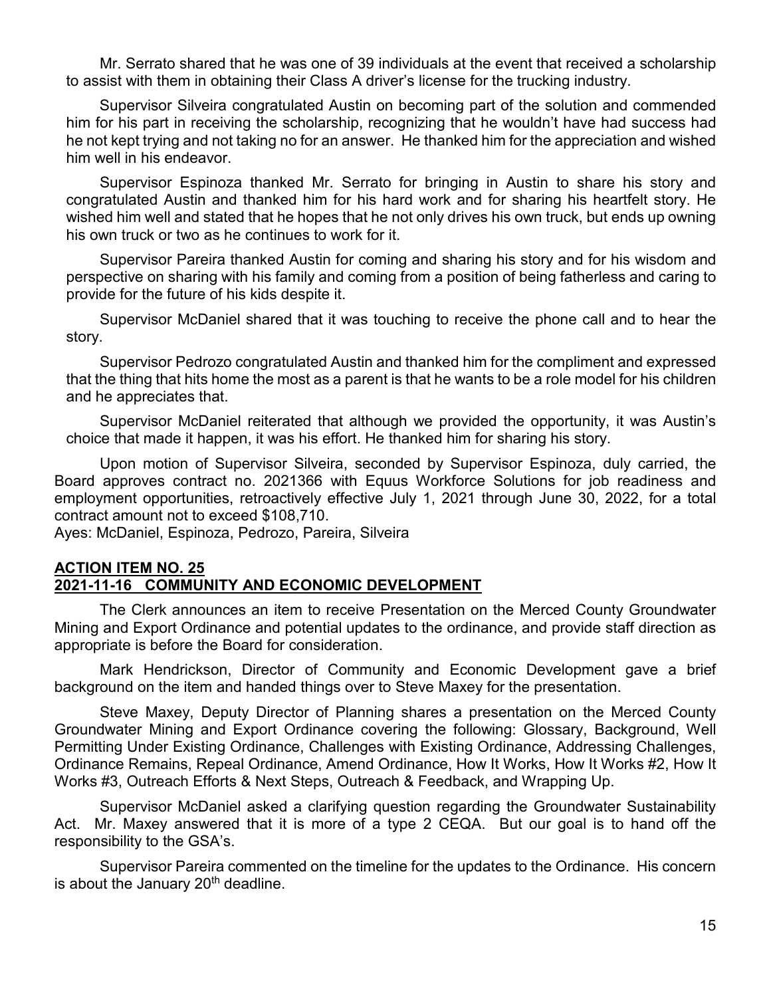Mr. Serrato shared that he was one of 39 individuals at the event that received a scholarship to assist with them in obtaining their Class A driver's license for the trucking industry.

Supervisor Silveira congratulated Austin on becoming part of the solution and commended him for his part in receiving the scholarship, recognizing that he wouldn't have had success had he not kept trying and not taking no for an answer. He thanked him for the appreciation and wished him well in his endeavor.

Supervisor Espinoza thanked Mr. Serrato for bringing in Austin to share his story and congratulated Austin and thanked him for his hard work and for sharing his heartfelt story. He wished him well and stated that he hopes that he not only drives his own truck, but ends up owning his own truck or two as he continues to work for it.

Supervisor Pareira thanked Austin for coming and sharing his story and for his wisdom and perspective on sharing with his family and coming from a position of being fatherless and caring to provide for the future of his kids despite it.

Supervisor McDaniel shared that it was touching to receive the phone call and to hear the story.

Supervisor Pedrozo congratulated Austin and thanked him for the compliment and expressed that the thing that hits home the most as a parent is that he wants to be a role model for his children and he appreciates that.

Supervisor McDaniel reiterated that although we provided the opportunity, it was Austin's choice that made it happen, it was his effort. He thanked him for sharing his story.

Upon motion of Supervisor Silveira, seconded by Supervisor Espinoza, duly carried, the Board approves contract no. 2021366 with Equus Workforce Solutions for job readiness and employment opportunities, retroactively effective July 1, 2021 through June 30, 2022, for a total contract amount not to exceed \$108,710.

Ayes: McDaniel, Espinoza, Pedrozo, Pareira, Silveira

#### **ACTION ITEM NO. 25 2021-11-16 COMMUNITY AND ECONOMIC DEVELOPMENT**

The Clerk announces an item to receive Presentation on the Merced County Groundwater Mining and Export Ordinance and potential updates to the ordinance, and provide staff direction as appropriate is before the Board for consideration.

Mark Hendrickson, Director of Community and Economic Development gave a brief background on the item and handed things over to Steve Maxey for the presentation.

Steve Maxey, Deputy Director of Planning shares a presentation on the Merced County Groundwater Mining and Export Ordinance covering the following: Glossary, Background, Well Permitting Under Existing Ordinance, Challenges with Existing Ordinance, Addressing Challenges, Ordinance Remains, Repeal Ordinance, Amend Ordinance, How It Works, How It Works #2, How It Works #3, Outreach Efforts & Next Steps, Outreach & Feedback, and Wrapping Up.

Supervisor McDaniel asked a clarifying question regarding the Groundwater Sustainability Act. Mr. Maxey answered that it is more of a type 2 CEQA. But our goal is to hand off the responsibility to the GSA's.

Supervisor Pareira commented on the timeline for the updates to the Ordinance. His concern is about the January  $20<sup>th</sup>$  deadline.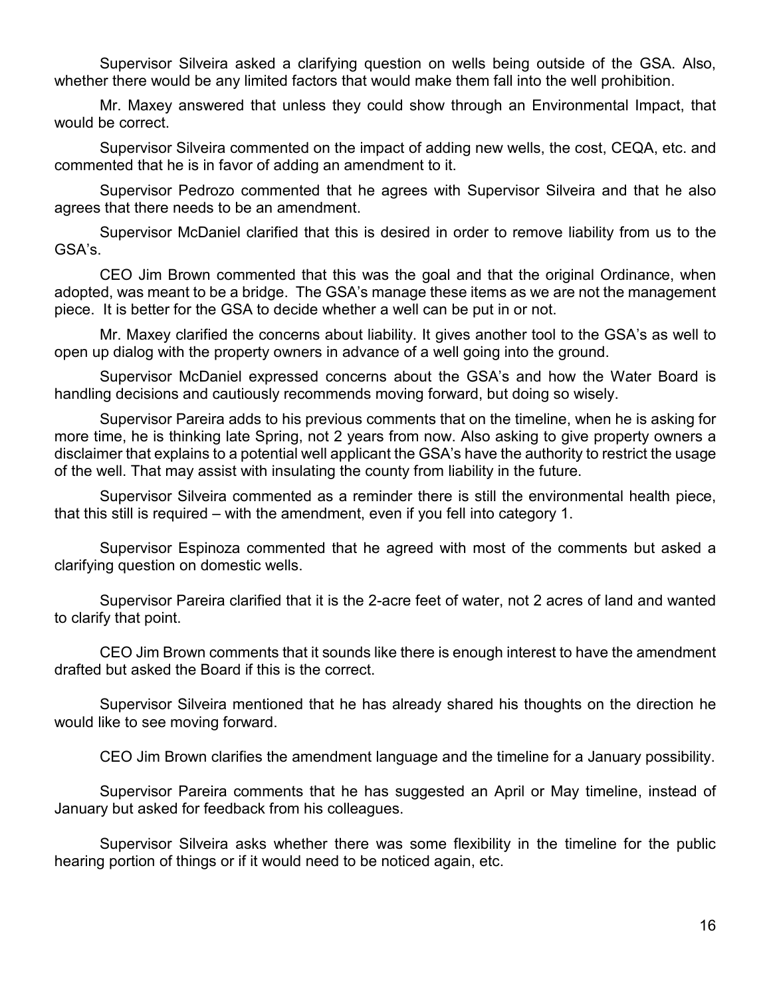Supervisor Silveira asked a clarifying question on wells being outside of the GSA. Also, whether there would be any limited factors that would make them fall into the well prohibition.

Mr. Maxey answered that unless they could show through an Environmental Impact, that would be correct.

Supervisor Silveira commented on the impact of adding new wells, the cost, CEQA, etc. and commented that he is in favor of adding an amendment to it.

Supervisor Pedrozo commented that he agrees with Supervisor Silveira and that he also agrees that there needs to be an amendment.

Supervisor McDaniel clarified that this is desired in order to remove liability from us to the GSA's.

CEO Jim Brown commented that this was the goal and that the original Ordinance, when adopted, was meant to be a bridge. The GSA's manage these items as we are not the management piece. It is better for the GSA to decide whether a well can be put in or not.

Mr. Maxey clarified the concerns about liability. It gives another tool to the GSA's as well to open up dialog with the property owners in advance of a well going into the ground.

Supervisor McDaniel expressed concerns about the GSA's and how the Water Board is handling decisions and cautiously recommends moving forward, but doing so wisely.

Supervisor Pareira adds to his previous comments that on the timeline, when he is asking for more time, he is thinking late Spring, not 2 years from now. Also asking to give property owners a disclaimer that explains to a potential well applicant the GSA's have the authority to restrict the usage of the well. That may assist with insulating the county from liability in the future.

Supervisor Silveira commented as a reminder there is still the environmental health piece, that this still is required – with the amendment, even if you fell into category 1.

Supervisor Espinoza commented that he agreed with most of the comments but asked a clarifying question on domestic wells.

Supervisor Pareira clarified that it is the 2-acre feet of water, not 2 acres of land and wanted to clarify that point.

CEO Jim Brown comments that it sounds like there is enough interest to have the amendment drafted but asked the Board if this is the correct.

Supervisor Silveira mentioned that he has already shared his thoughts on the direction he would like to see moving forward.

CEO Jim Brown clarifies the amendment language and the timeline for a January possibility.

Supervisor Pareira comments that he has suggested an April or May timeline, instead of January but asked for feedback from his colleagues.

Supervisor Silveira asks whether there was some flexibility in the timeline for the public hearing portion of things or if it would need to be noticed again, etc.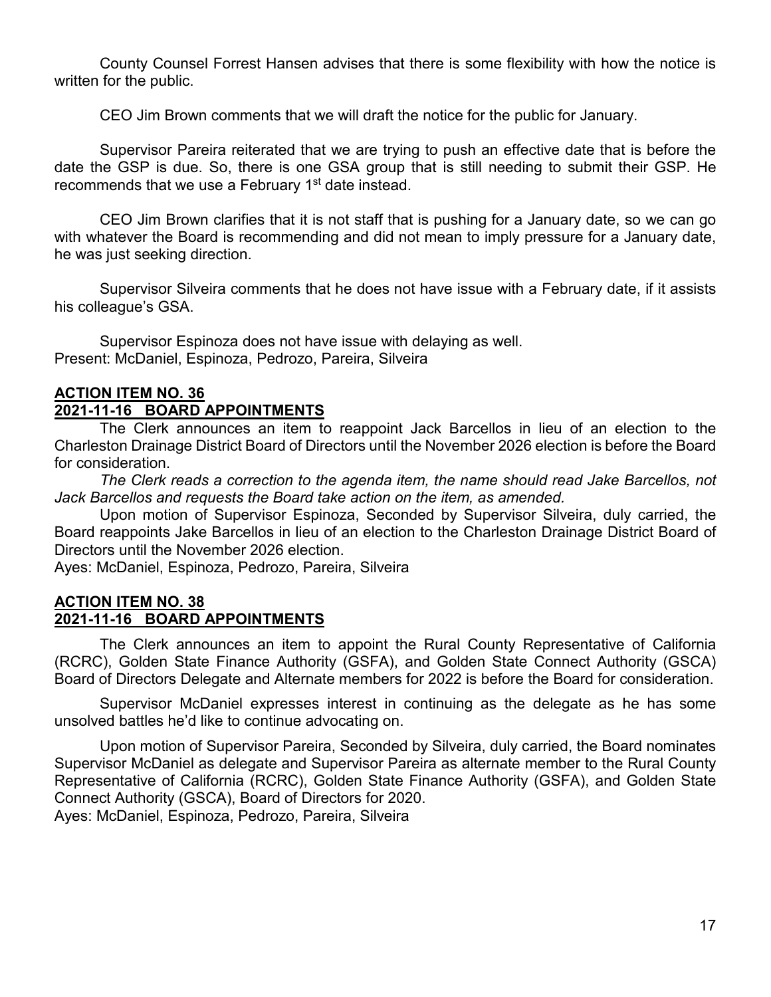County Counsel Forrest Hansen advises that there is some flexibility with how the notice is written for the public.

CEO Jim Brown comments that we will draft the notice for the public for January.

Supervisor Pareira reiterated that we are trying to push an effective date that is before the date the GSP is due. So, there is one GSA group that is still needing to submit their GSP. He recommends that we use a February 1<sup>st</sup> date instead.

CEO Jim Brown clarifies that it is not staff that is pushing for a January date, so we can go with whatever the Board is recommending and did not mean to imply pressure for a January date, he was just seeking direction.

Supervisor Silveira comments that he does not have issue with a February date, if it assists his colleague's GSA.

Supervisor Espinoza does not have issue with delaying as well. Present: McDaniel, Espinoza, Pedrozo, Pareira, Silveira

# **ACTION ITEM NO. 36**

## **2021-11-16 BOARD APPOINTMENTS**

The Clerk announces an item to reappoint Jack Barcellos in lieu of an election to the Charleston Drainage District Board of Directors until the November 2026 election is before the Board for consideration.

*The Clerk reads a correction to the agenda item, the name should read Jake Barcellos, not Jack Barcellos and requests the Board take action on the item, as amended.*

Upon motion of Supervisor Espinoza, Seconded by Supervisor Silveira, duly carried, the Board reappoints Jake Barcellos in lieu of an election to the Charleston Drainage District Board of Directors until the November 2026 election.

Ayes: McDaniel, Espinoza, Pedrozo, Pareira, Silveira

### **ACTION ITEM NO. 38 2021-11-16 BOARD APPOINTMENTS**

The Clerk announces an item to appoint the Rural County Representative of California (RCRC), Golden State Finance Authority (GSFA), and Golden State Connect Authority (GSCA) Board of Directors Delegate and Alternate members for 2022 is before the Board for consideration.

Supervisor McDaniel expresses interest in continuing as the delegate as he has some unsolved battles he'd like to continue advocating on.

Upon motion of Supervisor Pareira, Seconded by Silveira, duly carried, the Board nominates Supervisor McDaniel as delegate and Supervisor Pareira as alternate member to the Rural County Representative of California (RCRC), Golden State Finance Authority (GSFA), and Golden State Connect Authority (GSCA), Board of Directors for 2020.

Ayes: McDaniel, Espinoza, Pedrozo, Pareira, Silveira